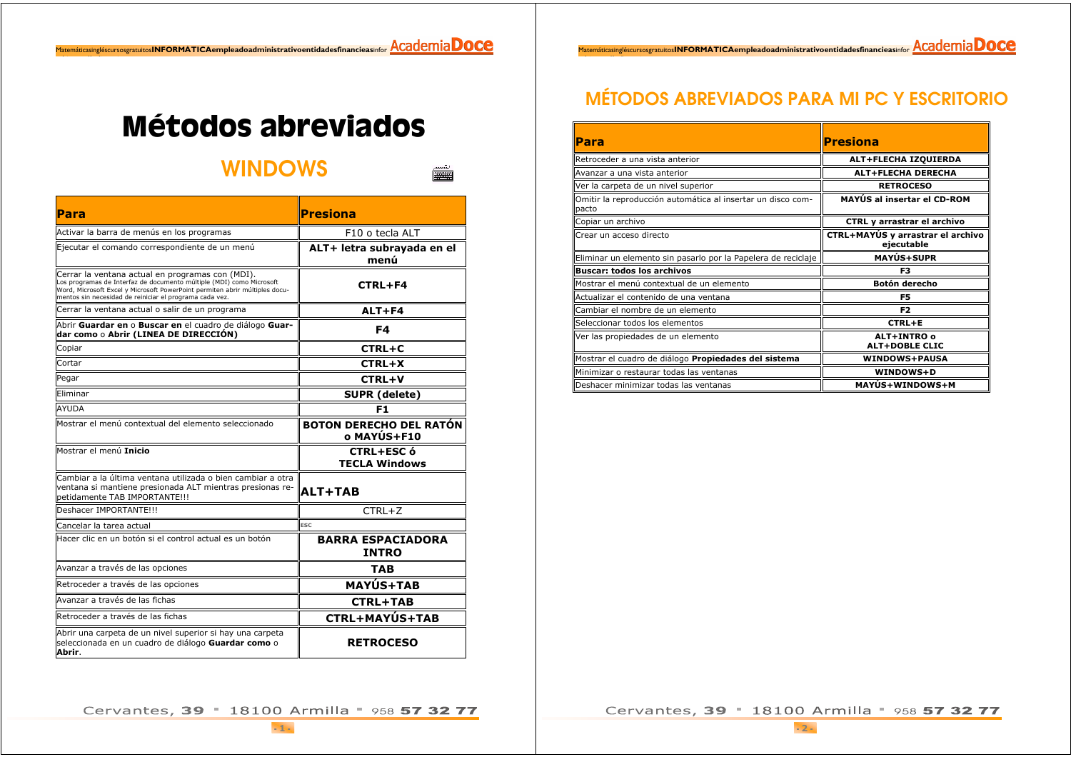$\footnotesize \frac{\texttt{Matemáticasingfescursosgratuitos} \textbf{INFORMÁTICAempleadoadministrativoentialadesfinnarcieasinfor } \textit{\underline{ACademia} DOCE}$ 

## **Métodos abreviados**

**WINDOWS** 

 $\frac{1}{\sqrt{2}}$ 

| Para                                                                                                                                                                                                                                                               | <b>Presiona</b>                               |
|--------------------------------------------------------------------------------------------------------------------------------------------------------------------------------------------------------------------------------------------------------------------|-----------------------------------------------|
| Activar la barra de menús en los programas                                                                                                                                                                                                                         | F <sub>10</sub> o tecla ALT                   |
| Ejecutar el comando correspondiente de un menú                                                                                                                                                                                                                     | ALT+ letra subrayada en el<br>menú            |
| Cerrar la ventana actual en programas con (MDI).<br>Los programas de Interfaz de documento múltiple (MDI) como Microsoft<br>Word, Microsoft Excel y Microsoft PowerPoint permiten abrir múltiples docu-<br>mentos sin necesidad de reiniciar el programa cada vez. | <b>CTRL+F4</b>                                |
| Cerrar la ventana actual o salir de un programa                                                                                                                                                                                                                    | ALT+F4                                        |
| Abrir Guardar en o Buscar en el cuadro de diálogo Guar-<br>dar como o Abrir (LINEA DE DIRECCIÓN)                                                                                                                                                                   | F4                                            |
| Copiar                                                                                                                                                                                                                                                             | CTRL+C                                        |
| Cortar                                                                                                                                                                                                                                                             | $CTRL+X$                                      |
| Pegar                                                                                                                                                                                                                                                              | <b>CTRL+V</b>                                 |
| Eliminar                                                                                                                                                                                                                                                           | SUPR (delete)                                 |
| <b>AYUDA</b>                                                                                                                                                                                                                                                       | F1                                            |
| Mostrar el menú contextual del elemento seleccionado                                                                                                                                                                                                               | <b>BOTON DERECHO DEL RATÓN</b><br>o MAYÚS+F10 |
| Mostrar el menú Inicio                                                                                                                                                                                                                                             | <b>CTRL+ESC ó</b><br><b>TECLA Windows</b>     |
| Cambiar a la última ventana utilizada o bien cambiar a otra<br>ventana si mantiene presionada ALT mientras presionas re-<br>petidamente TAB IMPORTANTE!!!                                                                                                          | <b>ALT+TAB</b>                                |
| Deshacer IMPORTANTE!!!                                                                                                                                                                                                                                             | $CTRL+Z$                                      |
| Cancelar la tarea actual                                                                                                                                                                                                                                           | <b>ESC</b>                                    |
| Hacer clic en un botón si el control actual es un botón                                                                                                                                                                                                            | <b>BARRA ESPACIADORA</b><br><b>INTRO</b>      |
| Avanzar a través de las opciones                                                                                                                                                                                                                                   | <b>TAB</b>                                    |
| Retroceder a través de las opciones                                                                                                                                                                                                                                | <b>MAYÚS+TAB</b>                              |
| Avanzar a través de las fichas                                                                                                                                                                                                                                     | <b>CTRL+TAB</b>                               |
| Retroceder a través de las fichas                                                                                                                                                                                                                                  | CTRL+MAYÚS+TAB                                |
| Abrir una carpeta de un nivel superior si hay una carpeta<br>seleccionada en un cuadro de diálogo Guardar como o<br>Abrir.                                                                                                                                         | <b>RETROCESO</b>                              |

## **MÉTODOS ABREVIADOS PARA MI PC Y ESCRITORIO**

| Para                                                                 | <b>Presiona</b>                                 |
|----------------------------------------------------------------------|-------------------------------------------------|
| Retroceder a una vista anterior                                      | ALT+FLECHA IZQUIERDA                            |
| Avanzar a una vista anterior                                         | <b>ALT+FLECHA DERECHA</b>                       |
| Ver la carpeta de un nivel superior                                  | <b>RETROCESO</b>                                |
| Omitir la reproducción automática al insertar un disco com-<br>pacto | <b>MAYUS al insertar el CD-ROM</b>              |
| Copiar un archivo                                                    | CTRL y arrastrar el archivo                     |
| Crear un acceso directo                                              | CTRL+MAYÚS y arrastrar el archivo<br>ejecutable |
| Eliminar un elemento sin pasarlo por la Papelera de reciclaje        | <b>MAYÚS+SUPR</b>                               |
| <b>Buscar: todos los archivos</b>                                    | F3                                              |
| Mostrar el menú contextual de un elemento                            | <b>Botón derecho</b>                            |
| Actualizar el contenido de una ventana                               | F5                                              |
| Cambiar el nombre de un elemento                                     | F <sub>2</sub>                                  |
| Seleccionar todos los elementos                                      | CTRL+E                                          |
| Ver las propiedades de un elemento                                   | ALT+INTRO o<br><b>ALT+DOBLE CLIC</b>            |
| Mostrar el cuadro de diálogo Propiedades del sistema                 | <b>WINDOWS+PAUSA</b>                            |
| Minimizar o restaurar todas las ventanas                             | WINDOWS+D                                       |
| Deshacer minimizar todas las ventanas                                | <b>MAYÚS+WINDOWS+M</b>                          |

Cervantes, 39 = 18100 Armilla = 958 57 32 77